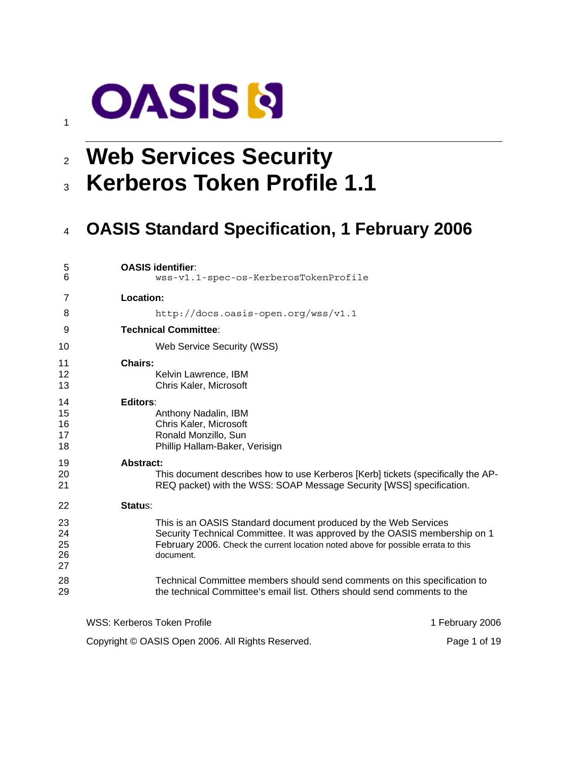# **OASIS N**

1

<sup>2</sup>**Web Services Security** 

<sup>3</sup>**Kerberos Token Profile 1.1** 

## <sup>4</sup>**OASIS Standard Specification, 1 February 2006**

| 5<br>6                     | <b>OASIS identifier:</b><br>wss-v1.1-spec-os-KerberosTokenProfile                                                                                                                                                                               |
|----------------------------|-------------------------------------------------------------------------------------------------------------------------------------------------------------------------------------------------------------------------------------------------|
| 7                          | Location:                                                                                                                                                                                                                                       |
| 8                          | http://docs.oasis-open.org/wss/v1.1                                                                                                                                                                                                             |
| 9                          | <b>Technical Committee:</b>                                                                                                                                                                                                                     |
| 10                         | Web Service Security (WSS)                                                                                                                                                                                                                      |
| 11<br>12<br>13             | <b>Chairs:</b><br>Kelvin Lawrence, IBM<br>Chris Kaler, Microsoft                                                                                                                                                                                |
| 14<br>15<br>16<br>17<br>18 | Editors:<br>Anthony Nadalin, IBM<br>Chris Kaler, Microsoft<br>Ronald Monzillo, Sun<br>Phillip Hallam-Baker, Verisign                                                                                                                            |
| 19<br>20<br>21             | <b>Abstract:</b><br>This document describes how to use Kerberos [Kerb] tickets (specifically the AP-<br>REQ packet) with the WSS: SOAP Message Security [WSS] specification.                                                                    |
| 22                         | Status:                                                                                                                                                                                                                                         |
| 23<br>24<br>25<br>26<br>27 | This is an OASIS Standard document produced by the Web Services<br>Security Technical Committee. It was approved by the OASIS membership on 1<br>February 2006. Check the current location noted above for possible errata to this<br>document. |
| 28<br>29                   | Technical Committee members should send comments on this specification to<br>the technical Committee's email list. Others should send comments to the                                                                                           |
|                            |                                                                                                                                                                                                                                                 |

WSS: Kerberos Token Profile 1 February 2006 Copyright © OASIS Open 2006. All Rights Reserved. Page 1 of 19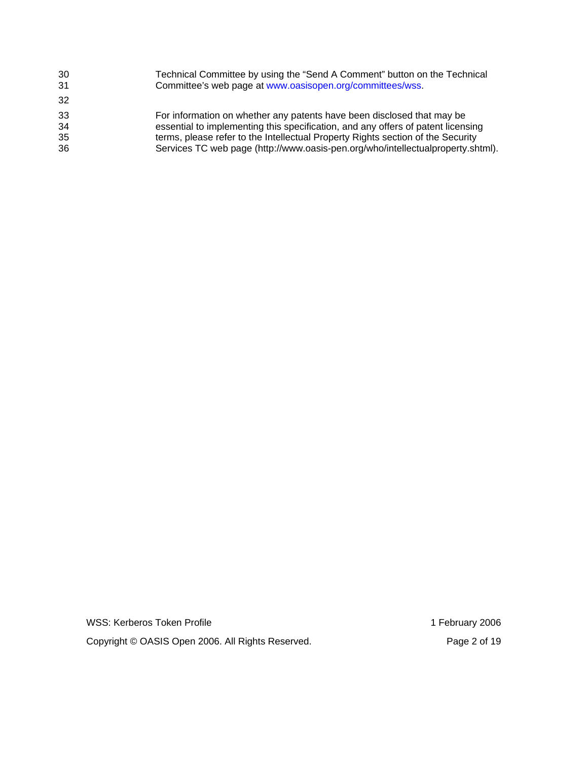| 30<br>31 | Technical Committee by using the "Send A Comment" button on the Technical<br>Committee's web page at www.oasisopen.org/committees/wss. |
|----------|----------------------------------------------------------------------------------------------------------------------------------------|
| 32       |                                                                                                                                        |
| 33       | For information on whether any patents have been disclosed that may be                                                                 |
| 34       | essential to implementing this specification, and any offers of patent licensing                                                       |
| 35       | terms, please refer to the Intellectual Property Rights section of the Security                                                        |
| 36       | Services TC web page (http://www.oasis-pen.org/who/intellectualproperty.shtml).                                                        |

WSS: Kerberos Token Profile 1 February 2006 Copyright © OASIS Open 2006. All Rights Reserved. Page 2 of 19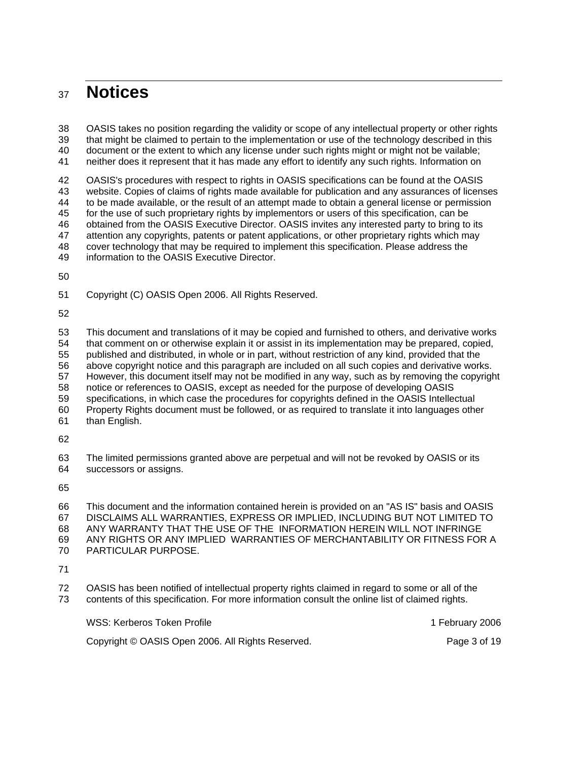## <sup>37</sup>**Notices**

38 OASIS takes no position regarding the validity or scope of any intellectual property or other rights 39 that might be claimed to pertain to the implementation or use of the technology described in this 40 document or the extent to which any license under such rights might or might not be vailable; 41 neither does it represent that it has made any effort to identify any such rights. Information on 42 OASIS's procedures with respect to rights in OASIS specifications can be found at the OASIS 43 website. Copies of claims of rights made available for publication and any assurances of licenses 44 to be made available, or the result of an attempt made to obtain a general license or permission 45 for the use of such proprietary rights by implementors or users of this specification, can be 46 obtained from the OASIS Executive Director. OASIS invites any interested party to bring to its 47 attention any copyrights, patents or patent applications, or other proprietary rights which may 48 cover technology that may be required to implement this specification. Please address the

- 49 information to the OASIS Executive Director.
- 50

51 Copyright (C) OASIS Open 2006. All Rights Reserved.

52

53 This document and translations of it may be copied and furnished to others, and derivative works 54 that comment on or otherwise explain it or assist in its implementation may be prepared, copied, 55 published and distributed, in whole or in part, without restriction of any kind, provided that the 56 above copyright notice and this paragraph are included on all such copies and derivative works. 57 However, this document itself may not be modified in any way, such as by removing the copyright 58 notice or references to OASIS, except as needed for the purpose of developing OASIS 59 specifications, in which case the procedures for copyrights defined in the OASIS Intellectual 60 Property Rights document must be followed, or as required to translate it into languages other 61 than English.

62

63 The limited permissions granted above are perpetual and will not be revoked by OASIS or its 64 successors or assigns.

65

66 This document and the information contained herein is provided on an "AS IS" basis and OASIS 67 DISCLAIMS ALL WARRANTIES, EXPRESS OR IMPLIED, INCLUDING BUT NOT LIMITED TO 68 ANY WARRANTY THAT THE USE OF THE INFORMATION HEREIN WILL NOT INFRINGE 69 ANY RIGHTS OR ANY IMPLIED WARRANTIES OF MERCHANTABILITY OR FITNESS FOR A 70 PARTICULAR PURPOSE.

71

72 OASIS has been notified of intellectual property rights claimed in regard to some or all of the 73 contents of this specification. For more information consult the online list of claimed rights.

WSS: Kerberos Token Profile 1 February 2006 Copyright © OASIS Open 2006. All Rights Reserved. Page 3 of 19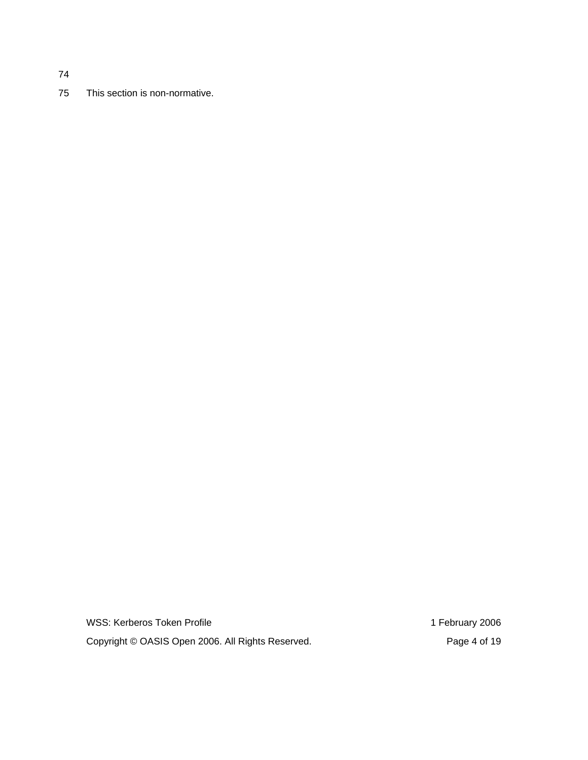74

75 This section is non-normative.

WSS: Kerberos Token Profile 1 February 2006 Copyright © OASIS Open 2006. All Rights Reserved. Page 4 of 19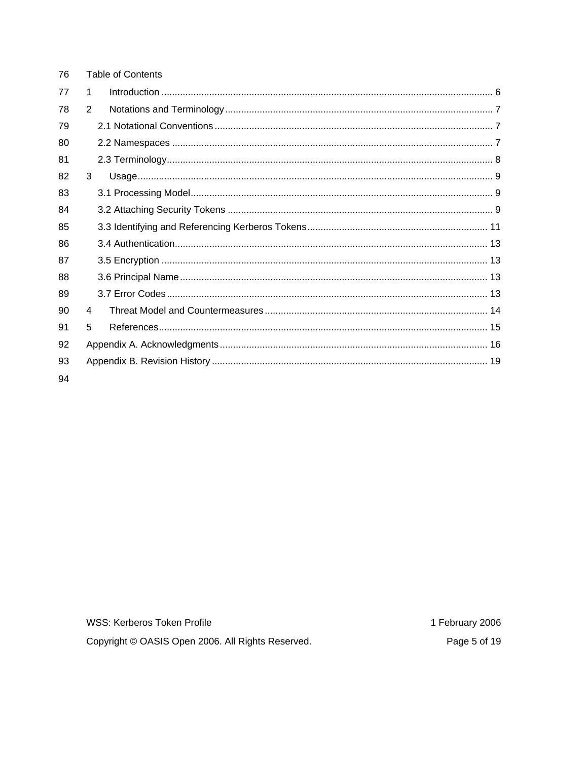| 76 | Table of Contents |  |
|----|-------------------|--|
| 77 | 1                 |  |
| 78 | 2                 |  |
| 79 |                   |  |
| 80 |                   |  |
| 81 |                   |  |
| 82 | 3                 |  |
| 83 |                   |  |
| 84 |                   |  |
| 85 |                   |  |
| 86 |                   |  |
| 87 |                   |  |
| 88 |                   |  |
| 89 |                   |  |
| 90 | 4                 |  |
| 91 | 5                 |  |
| 92 |                   |  |
| 93 |                   |  |
| 94 |                   |  |

WSS: Kerberos Token Profile

Copyright © OASIS Open 2006. All Rights Reserved.

1 February 2006 Page 5 of 19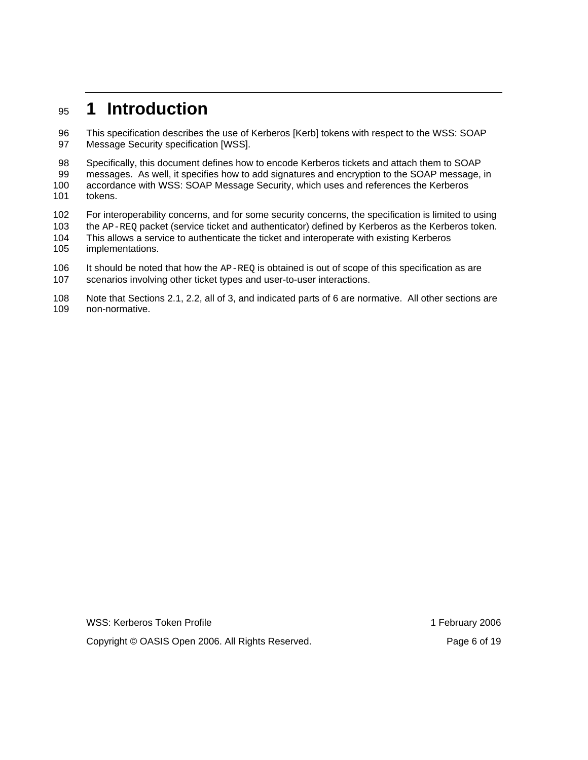## <sup>95</sup>**1 Introduction**

96 This specification describes the use of Kerberos [Kerb] tokens with respect to the WSS: SOAP 97 Message Security specification [WSS].

98 Specifically, this document defines how to encode Kerberos tickets and attach them to SOAP 99 messages. As well, it specifies how to add signatures and encryption to the SOAP message, in 100 accordance with WSS: SOAP Message Security, which uses and references the Kerberos 101 tokens.

102 For interoperability concerns, and for some security concerns, the specification is limited to using 103 the AP-REQ packet (service ticket and authenticator) defined by Kerberos as the Kerberos token. 104 This allows a service to authenticate the ticket and interoperate with existing Kerberos 105 implementations.

106 It should be noted that how the AP-REQ is obtained is out of scope of this specification as are 107 scenarios involving other ticket types and user-to-user interactions.

108 Note that Sections 2.1, 2.2, all of 3, and indicated parts of 6 are normative. All other sections are 109 non-normative.

WSS: Kerberos Token Profile 1 February 2006

Copyright © OASIS Open 2006. All Rights Reserved. **Page 6 of 19** Page 6 of 19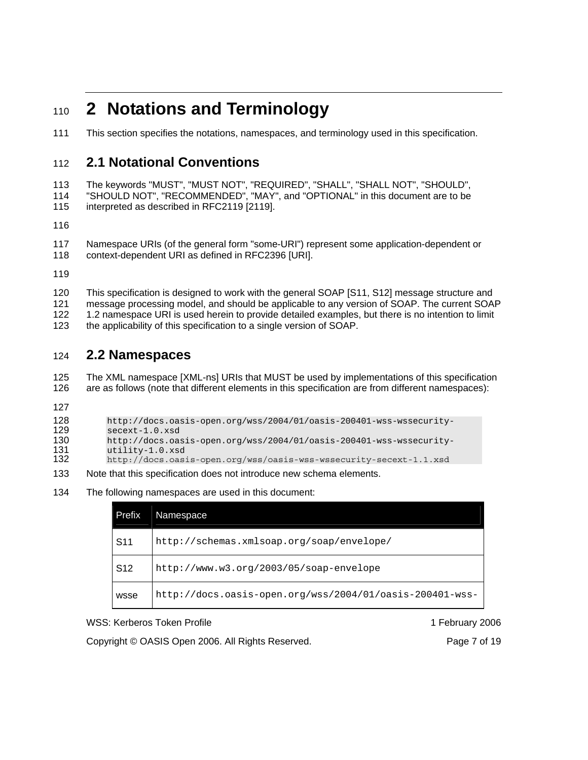## <sup>110</sup>**2 Notations and Terminology**

111 This section specifies the notations, namespaces, and terminology used in this specification.

#### 112 **2.1 Notational Conventions**

113 The keywords "MUST", "MUST NOT", "REQUIRED", "SHALL", "SHALL NOT", "SHOULD",

114 "SHOULD NOT", "RECOMMENDED", "MAY", and "OPTIONAL" in this document are to be 115 interpreted as described in RFC2119 [2119].

116

117 Namespace URIs (of the general form "some-URI") represent some application-dependent or 118 context-dependent URI as defined in RFC2396 [URI].

119

120 This specification is designed to work with the general SOAP [S11, S12] message structure and 121 message processing model, and should be applicable to any version of SOAP. The current SOAP 122 1.2 namespace URI is used herein to provide detailed examples, but there is no intention to limit

123 the applicability of this specification to a single version of SOAP.

#### 124 **2.2 Namespaces**

125 The XML namespace [XML-ns] URIs that MUST be used by implementations of this specification 126 are as follows (note that different elements in this specification are from different namespaces):

127

128 http://docs.oasis-open.org/wss/2004/01/oasis-200401-wss-wssecurity-<br>129 secext-1.0.xsd 129 secext-1.0.xsd<br>130 http://docs.oas 130 http://docs.oasis-open.org/wss/2004/01/oasis-200401-wss-wssecurity-131 utility-1.0.xsd<br>132 http://docs.oas: 132 http://docs.oasis-open.org/wss/oasis-wss-wssecurity-secext-1.1.xsd

133 Note that this specification does not introduce new schema elements.

134 The following namespaces are used in this document:

| Prefix          | Namespace                                                |
|-----------------|----------------------------------------------------------|
| S <sub>11</sub> | http://schemas.xmlsoap.org/soap/envelope/                |
| S <sub>12</sub> | http://www.w3.org/2003/05/soap-envelope                  |
| wsse            | http://docs.oasis-open.org/wss/2004/01/oasis-200401-wss- |

WSS: Kerberos Token Profile 1 February 2006

Copyright © OASIS Open 2006. All Rights Reserved. **Page 7 of 19** Page 7 of 19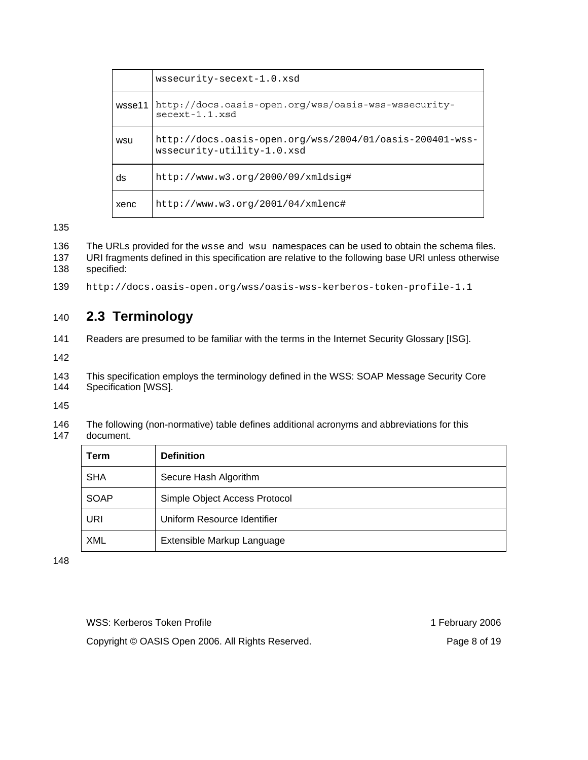|        | wssecurity-secext-1.0.xsd                                                              |
|--------|----------------------------------------------------------------------------------------|
| wsse11 | http://docs.oasis-open.org/wss/oasis-wss-wssecurity-<br>$secext-1.1.xsd$               |
| wsu    | http://docs.oasis-open.org/wss/2004/01/oasis-200401-wss-<br>wssecurity-utility-1.0.xsd |
| ds     | http://www.w3.org/2000/09/xmldsiq#                                                     |
| xenc   | http://www.w3.org/2001/04/xmlenc#                                                      |

135

136 The URLs provided for the wsse and wsu namespaces can be used to obtain the schema files. 137 URI fragments defined in this specification are relative to the following base URI unless otherwise<br>138 specified: specified:

139 http://docs.oasis-open.org/wss/oasis-wss-kerberos-token-profile-1.1

#### 140 **2.3 Terminology**

141 Readers are presumed to be familiar with the terms in the Internet Security Glossary [ISG].

142

143 This specification employs the terminology defined in the WSS: SOAP Message Security Core 144 Specification [WSS].

145

146 The following (non-normative) table defines additional acronyms and abbreviations for this ηt.

| 147 | documer |
|-----|---------|
|     |         |

| <b>Term</b> | <b>Definition</b>             |
|-------------|-------------------------------|
| <b>SHA</b>  | Secure Hash Algorithm         |
| SOAP        | Simple Object Access Protocol |
| URI         | Uniform Resource Identifier   |
| XML         | Extensible Markup Language    |

148

| WSS: Kerberos Token Profile                       | 1 February 2006 |
|---------------------------------------------------|-----------------|
| Copyright © OASIS Open 2006. All Rights Reserved. | Page 8 of 19    |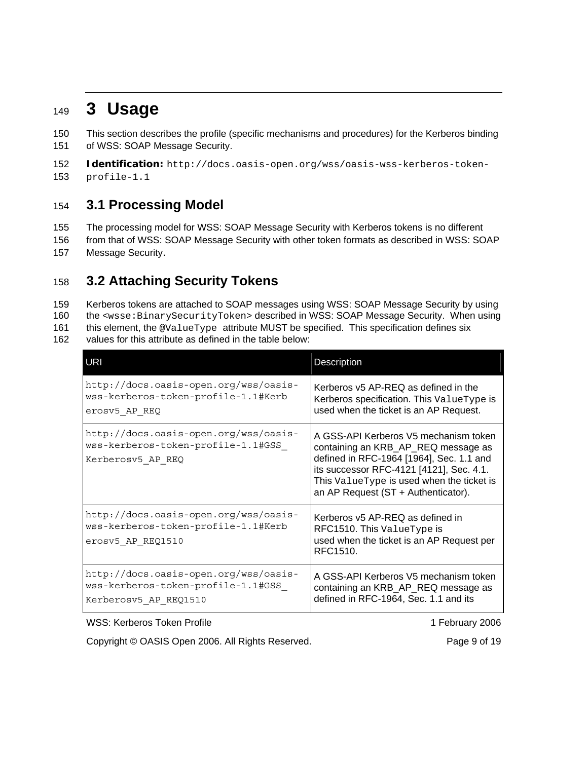## <sup>149</sup>**3 Usage**

150 This section describes the profile (specific mechanisms and procedures) for the Kerberos binding 151 of WSS: SOAP Message Security.

152 **Identification:** http://docs.oasis-open.org/wss/oasis-wss-kerberos-token-153 profile-1.1

#### 154 **3.1 Processing Model**

155 The processing model for WSS: SOAP Message Security with Kerberos tokens is no different 156 from that of WSS: SOAP Message Security with other token formats as described in WSS: SOAP 157 Message Security.

#### 158 **3.2 Attaching Security Tokens**

159 Kerberos tokens are attached to SOAP messages using WSS: SOAP Message Security by using

160 the <wsse:BinarySecurityToken> described in WSS: SOAP Message Security. When using

161 this element, the @ValueType attribute MUST be specified. This specification defines six

162 values for this attribute as defined in the table below:

| <b>URI</b>                                                                                            | Description                                                                                                                                                                                                                                              |
|-------------------------------------------------------------------------------------------------------|----------------------------------------------------------------------------------------------------------------------------------------------------------------------------------------------------------------------------------------------------------|
| http://docs.oasis-open.org/wss/oasis-<br>wss-kerberos-token-profile-1.1#Kerb<br>erosv5 AP REQ         | Kerberos v5 AP-REQ as defined in the<br>Kerberos specification. This ValueType is<br>used when the ticket is an AP Request.                                                                                                                              |
| http://docs.oasis-open.org/wss/oasis-<br>wss-kerberos-token-profile-1.1#GSS_<br>Kerberosv5 AP REQ     | A GSS-API Kerberos V5 mechanism token<br>containing an KRB_AP_REQ message as<br>defined in RFC-1964 [1964], Sec. 1.1 and<br>its successor RFC-4121 [4121], Sec. 4.1.<br>This ValueType is used when the ticket is<br>an AP Request (ST + Authenticator). |
| http://docs.oasis-open.org/wss/oasis-<br>wss-kerberos-token-profile-1.1#Kerb<br>erosv5 AP REQ1510     | Kerberos v5 AP-REQ as defined in<br>RFC1510. This ValueType is<br>used when the ticket is an AP Request per<br>RFC1510.                                                                                                                                  |
| http://docs.oasis-open.org/wss/oasis-<br>wss-kerberos-token-profile-1.1#GSS_<br>Kerberosv5 AP REQ1510 | A GSS-API Kerberos V5 mechanism token<br>containing an KRB_AP_REQ message as<br>defined in RFC-1964, Sec. 1.1 and its                                                                                                                                    |

WSS: Kerberos Token Profile 1 February 2006

Copyright © OASIS Open 2006. All Rights Reserved. Page 9 of 19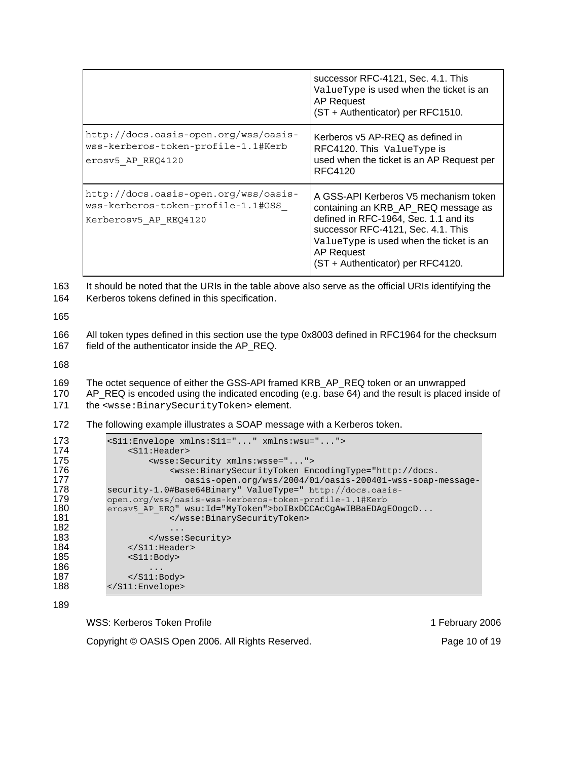|                                                                                                      | successor RFC-4121, Sec. 4.1. This<br>ValueType is used when the ticket is an<br>AP Request<br>(ST + Authenticator) per RFC1510.                                                                                                                          |
|------------------------------------------------------------------------------------------------------|-----------------------------------------------------------------------------------------------------------------------------------------------------------------------------------------------------------------------------------------------------------|
| http://docs.oasis-open.org/wss/oasis-<br>wss-kerberos-token-profile-1.1#Kerb<br>erosv5 AP REQ4120    | Kerberos v5 AP-REQ as defined in<br>RFC4120. This ValueType is<br>used when the ticket is an AP Request per<br>RFC4120                                                                                                                                    |
| http://docs.oasis-open.org/wss/oasis-<br>wss-kerberos-token-profile-1.1#GSS<br>Kerberosv5 AP REQ4120 | A GSS-API Kerberos V5 mechanism token<br>containing an KRB_AP_REQ message as<br>defined in RFC-1964, Sec. 1.1 and its<br>successor RFC-4121, Sec. 4.1. This<br>ValueType is used when the ticket is an<br>AP Request<br>(ST + Authenticator) per RFC4120. |

163 It should be noted that the URIs in the table above also serve as the official URIs identifying the 164 Kerberos tokens defined in this specification.

165

166 All token types defined in this section use the type 0x8003 defined in RFC1964 for the checksum 167 field of the authenticator inside the AP\_REQ.

168

169 The octet sequence of either the GSS-API framed KRB\_AP\_REQ token or an unwrapped

170 AP\_REQ is encoded using the indicated encoding (e.g. base 64) and the result is placed inside of

171 the <wsse:BinarySecurityToken> element.

#### 172 The following example illustrates a SOAP message with a Kerberos token.

| 173 | $\text{S11:Envelope } xmlns: \text{S11=}\dots$ $xmlns:$ wsu= $\dots$ .                                                                                                                                                                                                                                                                                                                                                                                                                                                                                                                                                        |  |  |
|-----|-------------------------------------------------------------------------------------------------------------------------------------------------------------------------------------------------------------------------------------------------------------------------------------------------------------------------------------------------------------------------------------------------------------------------------------------------------------------------------------------------------------------------------------------------------------------------------------------------------------------------------|--|--|
| 174 | $<$ S11:Header>                                                                                                                                                                                                                                                                                                                                                                                                                                                                                                                                                                                                               |  |  |
| 175 | <wsse:security xmlns:wsse=""></wsse:security>                                                                                                                                                                                                                                                                                                                                                                                                                                                                                                                                                                                 |  |  |
| 176 | <wsse:binarysecuritytoken encodingtype="http://docs.&lt;/th&gt;&lt;/tr&gt;&lt;tr&gt;&lt;th&gt;177&lt;/th&gt;&lt;th&gt;oasis-open.org/wss/2004/01/oasis-200401-wss-soap-message-&lt;/th&gt;&lt;/tr&gt;&lt;tr&gt;&lt;th&gt;178&lt;/th&gt;&lt;th colspan=3&gt;security-1.0#Base64Binary" id="MyToken" valuetype=" http://docs.oasis-&lt;/th&gt;&lt;/tr&gt;&lt;tr&gt;&lt;th&gt;179&lt;/th&gt;&lt;th colspan=3&gt;open.org/wss/oasis-wss-kerberos-token-profile-1.1#Kerb&lt;/th&gt;&lt;/tr&gt;&lt;tr&gt;&lt;th&gt;180&lt;/th&gt;&lt;th colspan=3&gt;erosv5 AP REQ" wsu:="">boIBxDCCAcCqAwIBBaEDAqEOoqcD</wsse:binarysecuritytoken> |  |  |
| 181 |                                                                                                                                                                                                                                                                                                                                                                                                                                                                                                                                                                                                                               |  |  |
| 182 | $\ddotsc$                                                                                                                                                                                                                                                                                                                                                                                                                                                                                                                                                                                                                     |  |  |
| 183 |                                                                                                                                                                                                                                                                                                                                                                                                                                                                                                                                                                                                                               |  |  |
| 184 | $\langle$ /S11:Header>                                                                                                                                                                                                                                                                                                                                                                                                                                                                                                                                                                                                        |  |  |
| 185 | $<$ S $11$ : Body>                                                                                                                                                                                                                                                                                                                                                                                                                                                                                                                                                                                                            |  |  |
| 186 | $\ddotsc$                                                                                                                                                                                                                                                                                                                                                                                                                                                                                                                                                                                                                     |  |  |
| 187 | $\langle$ /S11:Body>                                                                                                                                                                                                                                                                                                                                                                                                                                                                                                                                                                                                          |  |  |
| 188 | $\langle$ /S11:Envelope>                                                                                                                                                                                                                                                                                                                                                                                                                                                                                                                                                                                                      |  |  |

189

WSS: Kerberos Token Profile 1 Australian 1 February 2006

Copyright © OASIS Open 2006. All Rights Reserved. Page 10 of 19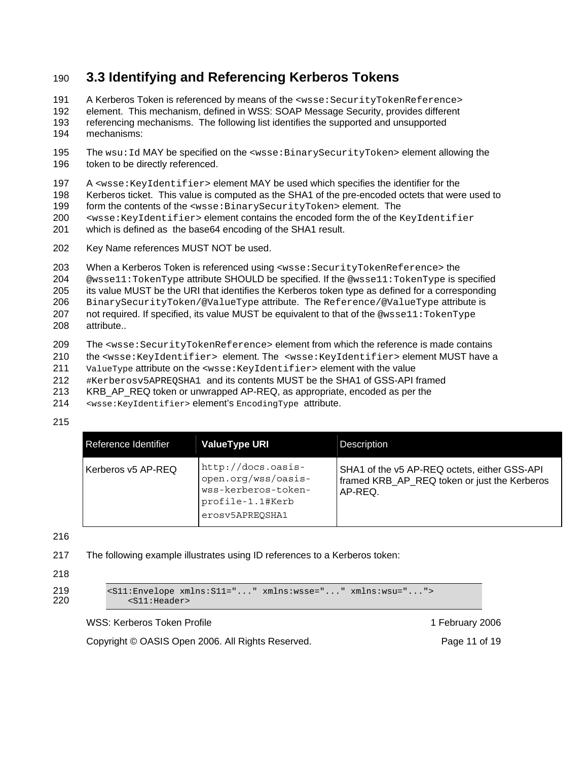### 190 **3.3 Identifying and Referencing Kerberos Tokens**

- 191 A Kerberos Token is referenced by means of the <wsse:SecurityTokenReference> 192 element. This mechanism, defined in WSS: SOAP Message Security, provides different
- 193 referencing mechanisms. The following list identifies the supported and unsupported 194 mechanisms:
- 195 The wsu: Id MAY be specified on the <wsse: BinarySecurityToken> element allowing the 196 token to be directly referenced.
- 197 A <wsse: KeyIdentifier> element MAY be used which specifies the identifier for the
- 198 Kerberos ticket. This value is computed as the SHA1 of the pre-encoded octets that were used to
- 199 form the contents of the <wsse:BinarySecurityToken> element. The
- 200 <wsse:KeyIdentifier> element contains the encoded form the of the KeyIdentifier
- 201 which is defined as the base64 encoding of the SHA1 result.
- 202 Key Name references MUST NOT be used.
- 203 When a Kerberos Token is referenced using <wsse:SecurityTokenReference> the
- 204 @wsse11:TokenType attribute SHOULD be specified. If the @wsse11:TokenType is specified
- 205 its value MUST be the URI that identifies the Kerberos token type as defined for a corresponding
- 206 BinarySecurityToken/@ValueType attribute. The Reference/@ValueType attribute is
- 207 not required. If specified, its value MUST be equivalent to that of the @wsse11:TokenType 208 attribute..
- 209 The <wsse:SecurityTokenReference> element from which the reference is made contains
- 210 the <wsse:KeyIdentifier> element. The <wsse:KeyIdentifier> element MUST have a
- 211 valueType attribute on the <wsse:KeyIdentifier> element with the value
- 212 #Kerberosv5APREQSHA1 and its contents MUST be the SHA1 of GSS-API framed<br>213 KRB AP REQ token or unwrapped AP-REQ, as appropriate, encoded as per the
- KRB AP REQ token or unwrapped AP-REQ, as appropriate, encoded as per the
- 214 <wsse:KeyIdentifier> element's EncodingType attribute.
- 215

| Reference Identifier | <b>ValueType URI</b>                                                                                    | <b>Description</b>                                                                                      |
|----------------------|---------------------------------------------------------------------------------------------------------|---------------------------------------------------------------------------------------------------------|
| Kerberos v5 AP-REQ   | http://docs.oasis-<br>open.org/wss/oasis-<br>wss-kerberos-token-<br>profile-1.1#Kerb<br>erosv5APREOSHA1 | SHA1 of the v5 AP-REQ octets, either GSS-API<br>framed KRB AP REQ token or just the Kerberos<br>AP-REQ. |

216

- 217 The following example illustrates using ID references to a Kerberos token:
- 218

```
219 <s11:Envelope xmlns:S11="..." xmlns:wsse="..." xmlns:wsu="..."><br>220 <s11:Header>
    <S11:Header>
```
WSS: Kerberos Token Profile 1 February 2006

Copyright © OASIS Open 2006. All Rights Reserved. Page 11 of 19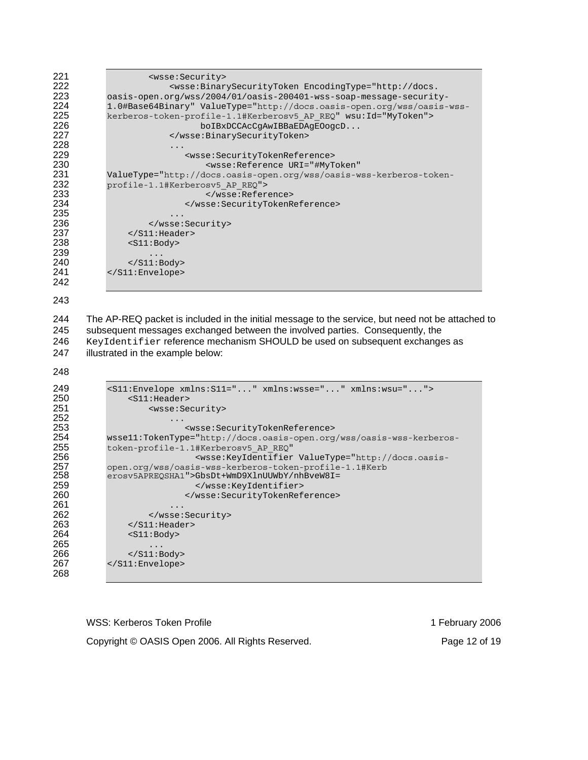221 <wsse:Security><br>222 <wsse:Binar <wsse:BinarySecurityToken EncodingType="http://docs. oasis-open.org/wss/2004/01/oasis-200401-wss-soap-message-security-224 1.0#Base64Binary" ValueType="http://docs.oasis-open.org/wss/oasis-wss-<br>225 herberos-token-profile-1.1#Kerberosv5 AP REQ" wsu:Id="MyToken"> kerberos-token-profile-1.1#Kerberosv5\_AP\_REQ" wsu:Id="MyToken"> 226 boIBxDCCAcCgAwIBBaEDAgEOogcD...<br>227 </wsse:BinarySecurityToken> </wsse:BinarySecurityToken> 228<br>229 <wsse:SecurityTokenReference> <wsse:Reference URI="#MyToken" 231 ValueType="http://docs.oasis-open.org/wss/oasis-wss-kerberos-token-<br>232 profile-1.1#Kerberosv5 AP REO"> profile-1.1#Kerberosv5\_AP\_REQ"> </wsse:Reference> </wsse:SecurityTokenReference> ...<br> $236$  .... 236 </wsse:Security><br>237 </s11:Header> </S11:Header><br> $238$  <S11:Body> <S11:Body> ...<br>240 </s11:B 240 </S11:Body><br>241 </S11:Envelope> </S11:Envelope> 

244 The AP-REQ packet is included in the initial message to the service, but need not be attached to 245 subsequent messages exchanged between the involved parties. Consequently, the 246 KeyIdentifier reference mechanism SHOULD be used on subsequent exchanges as 247 illustrated in the example below:

| 249<br>250<br>251 | $\text{S31:Envelope }$ xmlns: $\text{S11=}\$ " xmlns:wsse="" xmlns:wsu=""><br>$<$ S11:Header><br><wsse: security=""></wsse:>                                                                                                                                                                                                           |
|-------------------|----------------------------------------------------------------------------------------------------------------------------------------------------------------------------------------------------------------------------------------------------------------------------------------------------------------------------------------|
| 252               |                                                                                                                                                                                                                                                                                                                                        |
| 253               | <wsse:securitytokenreference></wsse:securitytokenreference>                                                                                                                                                                                                                                                                            |
| 254               | $wssel1:TokenType='http://docs.oasis-open.org/wss/oasis-wss-kerberos-$                                                                                                                                                                                                                                                                 |
| 255               | token-profile-1.1#Kerberosv5 AP REQ"                                                                                                                                                                                                                                                                                                   |
| 256               | <wsse:keyidentifier valuetype="http://docs.oasis-&lt;/th&gt;&lt;/tr&gt;&lt;tr&gt;&lt;th&gt;257&lt;/th&gt;&lt;th&gt;open.org/wss/oasis-wss-kerberos-token-profile-1.1#Kerb&lt;/th&gt;&lt;/tr&gt;&lt;tr&gt;&lt;th&gt;258&lt;/th&gt;&lt;th&gt;&lt;math&gt;erosv5APREOSHA1&lt;/math&gt;">GbsDt+WmD9XlnUUWbY/nhBveW8I=</wsse:keyidentifier> |
| 259               |                                                                                                                                                                                                                                                                                                                                        |
| 260               |                                                                                                                                                                                                                                                                                                                                        |
| 261               | .                                                                                                                                                                                                                                                                                                                                      |
| 262               |                                                                                                                                                                                                                                                                                                                                        |
| 263               | $\langle$ /S11:Header>                                                                                                                                                                                                                                                                                                                 |
| 264               | $<$ S $11$ : Body>                                                                                                                                                                                                                                                                                                                     |
| 265               | $\ddot{\phantom{0}}$ .                                                                                                                                                                                                                                                                                                                 |
| 266               | $\langle$ /S11:Body>                                                                                                                                                                                                                                                                                                                   |
| 267               | $\langle$ /S11:Envelope>                                                                                                                                                                                                                                                                                                               |
| 268               |                                                                                                                                                                                                                                                                                                                                        |

WSS: Kerberos Token Profile 1 February 2006

Copyright © OASIS Open 2006. All Rights Reserved. Page 12 of 19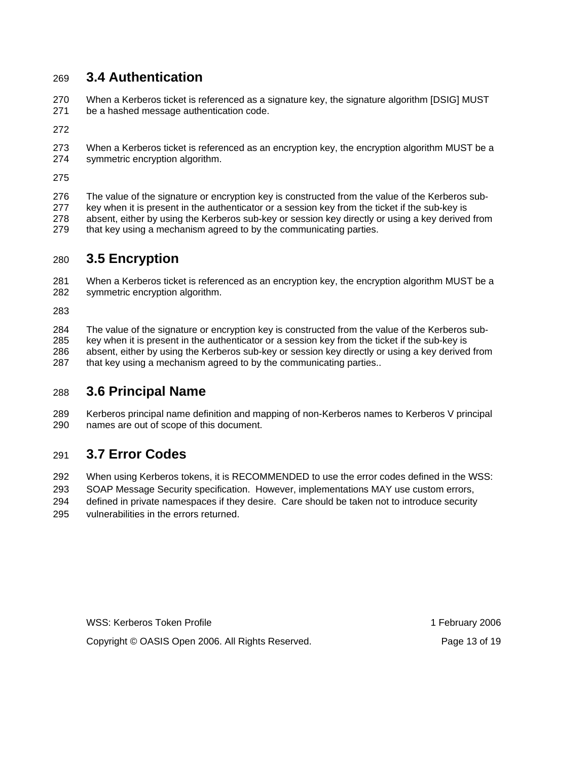#### 269 **3.4 Authentication**

270 When a Kerberos ticket is referenced as a signature key, the signature algorithm [DSIG] MUST 271 be a hashed message authentication code.

272

273 When a Kerberos ticket is referenced as an encryption key, the encryption algorithm MUST be a 274 symmetric encryption algorithm.

275

276 The value of the signature or encryption key is constructed from the value of the Kerberos sub-277 key when it is present in the authenticator or a session key from the ticket if the sub-key is 278 absent, either by using the Kerberos sub-key or session key directly or using a key derived from 279 that key using a mechanism agreed to by the communicating parties.

#### 280 **3.5 Encryption**

281 When a Kerberos ticket is referenced as an encryption key, the encryption algorithm MUST be a 282 symmetric encryption algorithm.

283

284 The value of the signature or encryption key is constructed from the value of the Kerberos sub-285 key when it is present in the authenticator or a session key from the ticket if the sub-key is 286 absent, either by using the Kerberos sub-key or session key directly or using a key derived from

287 that key using a mechanism agreed to by the communicating parties..

#### 288 **3.6 Principal Name**

289 Kerberos principal name definition and mapping of non-Kerberos names to Kerberos V principal 290 names are out of scope of this document.

#### 291 **3.7 Error Codes**

292 When using Kerberos tokens, it is RECOMMENDED to use the error codes defined in the WSS:

293 SOAP Message Security specification. However, implementations MAY use custom errors,

294 defined in private namespaces if they desire. Care should be taken not to introduce security

295 vulnerabilities in the errors returned.

WSS: Kerberos Token Profile 1 February 2006 Copyright © OASIS Open 2006. All Rights Reserved. Page 13 of 19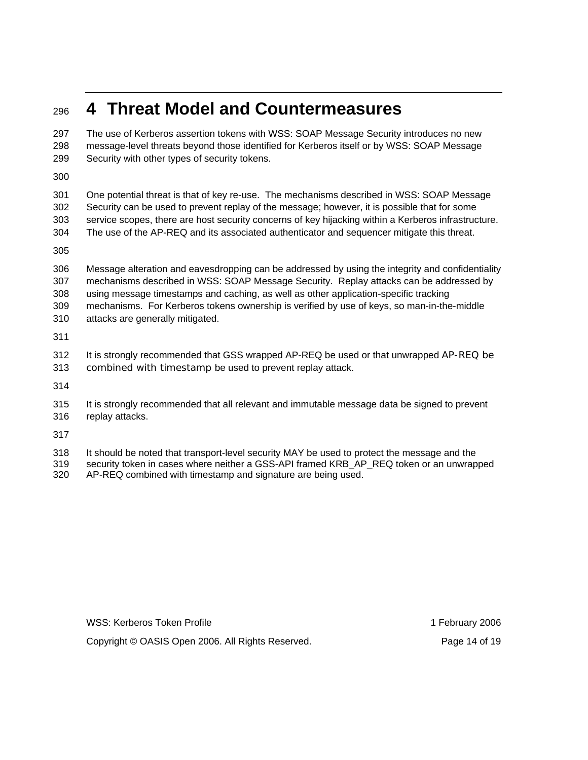## <sup>296</sup>**4 Threat Model and Countermeasures**

297 The use of Kerberos assertion tokens with WSS: SOAP Message Security introduces no new 298 message-level threats beyond those identified for Kerberos itself or by WSS: SOAP Message 299 Security with other types of security tokens. 300 301 One potential threat is that of key re-use. The mechanisms described in WSS: SOAP Message 302 Security can be used to prevent replay of the message; however, it is possible that for some 303 service scopes, there are host security concerns of key hijacking within a Kerberos infrastructure. 304 The use of the AP-REQ and its associated authenticator and sequencer mitigate this threat. 305 306 Message alteration and eavesdropping can be addressed by using the integrity and confidentiality 307 mechanisms described in WSS: SOAP Message Security. Replay attacks can be addressed by 308 using message timestamps and caching, as well as other application-specific tracking 309 mechanisms. For Kerberos tokens ownership is verified by use of keys, so man-in-the-middle 310 attacks are generally mitigated. 311 312 It is strongly recommended that GSS wrapped AP-REQ be used or that unwrapped AP-REQ be 313 combined with timestamp be used to prevent replay attack. 314 315 It is strongly recommended that all relevant and immutable message data be signed to prevent 316 replay attacks. 317 318 It should be noted that transport-level security MAY be used to protect the message and the 319 security token in cases where neither a GSS-API framed KRB\_AP\_REQ token or an unwrapped 320 AP-REQ combined with timestamp and signature are being used.

WSS: Kerberos Token Profile 1 February 2006

Copyright © OASIS Open 2006. All Rights Reserved. Page 14 of 19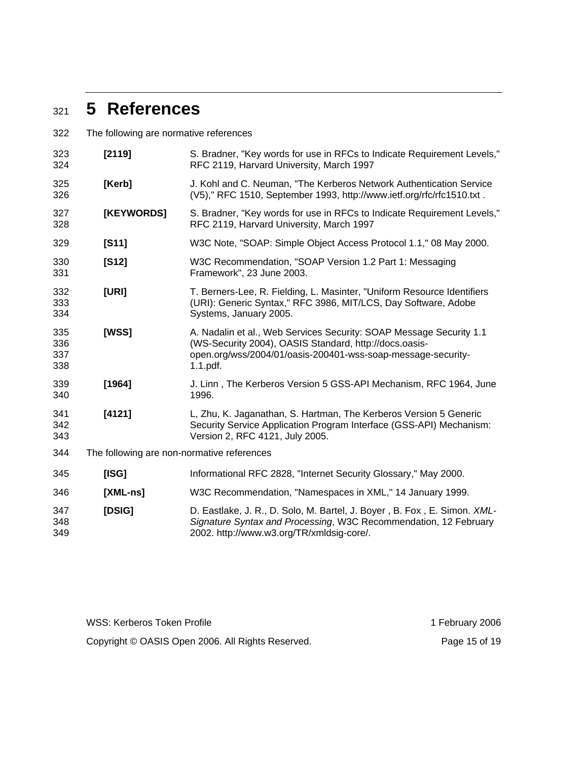## <sup>321</sup>**5 References**

322 The following are normative references

| 323<br>324               | [2119]                                     | S. Bradner, "Key words for use in RFCs to Indicate Requirement Levels,"<br>RFC 2119, Harvard University, March 1997                                                                                          |  |  |
|--------------------------|--------------------------------------------|--------------------------------------------------------------------------------------------------------------------------------------------------------------------------------------------------------------|--|--|
| 325<br>326               | [Kerb]                                     | J. Kohl and C. Neuman, "The Kerberos Network Authentication Service<br>(V5)," RFC 1510, September 1993, http://www.ietf.org/rfc/rfc1510.txt.                                                                 |  |  |
| 327<br>328               | [KEYWORDS]                                 | S. Bradner, "Key words for use in RFCs to Indicate Requirement Levels,"<br>RFC 2119, Harvard University, March 1997                                                                                          |  |  |
| 329                      | [S11]                                      | W3C Note, "SOAP: Simple Object Access Protocol 1.1," 08 May 2000.                                                                                                                                            |  |  |
| 330<br>331               | [S12]                                      | W3C Recommendation, "SOAP Version 1.2 Part 1: Messaging<br>Framework", 23 June 2003.                                                                                                                         |  |  |
| 332<br>333<br>334        | [URI]                                      | T. Berners-Lee, R. Fielding, L. Masinter, "Uniform Resource Identifiers<br>(URI): Generic Syntax," RFC 3986, MIT/LCS, Day Software, Adobe<br>Systems, January 2005.                                          |  |  |
| 335<br>336<br>337<br>338 | [WSS]                                      | A. Nadalin et al., Web Services Security: SOAP Message Security 1.1<br>(WS-Security 2004), OASIS Standard, http://docs.oasis-<br>open.org/wss/2004/01/oasis-200401-wss-soap-message-security-<br>$1.1$ .pdf. |  |  |
| 339<br>340               | [1964]                                     | J. Linn, The Kerberos Version 5 GSS-API Mechanism, RFC 1964, June<br>1996.                                                                                                                                   |  |  |
| 341<br>342<br>343        | [4121]                                     | L, Zhu, K. Jaganathan, S. Hartman, The Kerberos Version 5 Generic<br>Security Service Application Program Interface (GSS-API) Mechanism:<br>Version 2, RFC 4121, July 2005.                                  |  |  |
| 344                      | The following are non-normative references |                                                                                                                                                                                                              |  |  |
| 345                      | [ISG]                                      | Informational RFC 2828, "Internet Security Glossary," May 2000.                                                                                                                                              |  |  |
| 346                      | $[XML-ns]$                                 | W3C Recommendation, "Namespaces in XML," 14 January 1999.                                                                                                                                                    |  |  |
| 347<br>348<br>349        | [DSIG]                                     | D. Eastlake, J. R., D. Solo, M. Bartel, J. Boyer, B. Fox, E. Simon. XML-<br>Signature Syntax and Processing, W3C Recommendation, 12 February<br>2002. http://www.w3.org/TR/xmldsig-core/.                    |  |  |

WSS: Kerberos Token Profile 1 Australian 1 February 2006 Copyright © OASIS Open 2006. All Rights Reserved. Page 15 of 19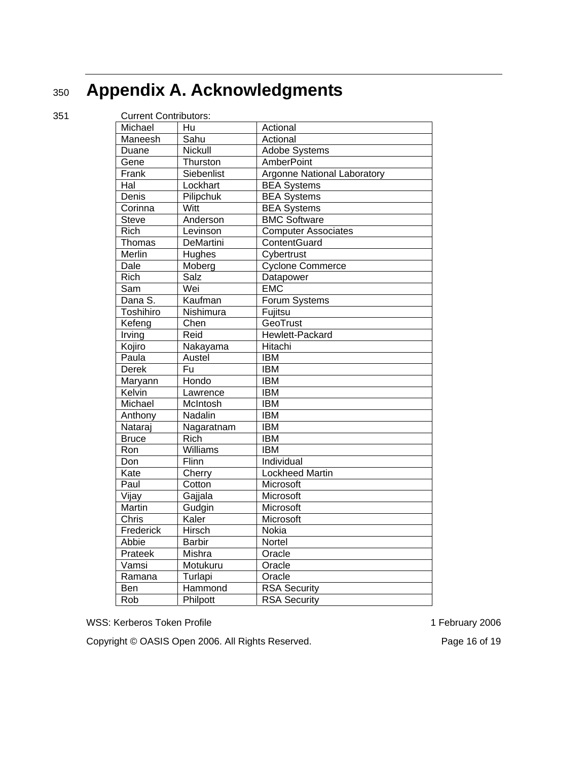## <sup>350</sup>**Appendix A. Acknowledgments**

 $351$ 

| <b>Current Contributors:</b> |               |                                    |
|------------------------------|---------------|------------------------------------|
| Michael                      | Hu            | Actional                           |
| Maneesh                      | Sahu          | Actional                           |
| Duane                        | Nickull       | Adobe Systems                      |
| Gene                         | Thurston      | AmberPoint                         |
| Frank                        | Siebenlist    | <b>Argonne National Laboratory</b> |
| Hal                          | Lockhart      | <b>BEA Systems</b>                 |
| Denis                        | Pilipchuk     | <b>BEA Systems</b>                 |
| Corinna                      | Witt          | <b>BEA Systems</b>                 |
| <b>Steve</b>                 | Anderson      | <b>BMC Software</b>                |
| <b>Rich</b>                  | Levinson      | <b>Computer Associates</b>         |
| Thomas                       | DeMartini     | ContentGuard                       |
| <b>Merlin</b>                | Hughes        | Cybertrust                         |
| Dale                         | Moberg        | <b>Cyclone Commerce</b>            |
| <b>Rich</b>                  | Salz          | Datapower                          |
| Sam                          | Wei           | <b>EMC</b>                         |
| Dana S.                      | Kaufman       | Forum Systems                      |
| <b>Toshihiro</b>             | Nishimura     | Fujitsu                            |
| Kefeng                       | Chen          | <b>GeoTrust</b>                    |
| Irving                       | Reid          | Hewlett-Packard                    |
| Kojiro                       | Nakayama      | Hitachi                            |
| Paula                        | Austel        | <b>IBM</b>                         |
| <b>Derek</b>                 | Fu            | <b>IBM</b>                         |
| Maryann                      | Hondo         | <b>IBM</b>                         |
| Kelvin                       | Lawrence      | <b>IBM</b>                         |
| Michael                      | McIntosh      | <b>IBM</b>                         |
| Anthony                      | Nadalin       | <b>IBM</b>                         |
| Nataraj                      | Nagaratnam    | <b>IBM</b>                         |
| <b>Bruce</b>                 | <b>Rich</b>   | <b>IBM</b>                         |
| $\overline{R}$ on            | Williams      | <b>IBM</b>                         |
| Don                          | Flinn         | Individual                         |
| Kate                         | Cherry        | <b>Lockheed Martin</b>             |
| Paul                         | Cotton        | Microsoft                          |
| Vijay                        | Gajjala       | Microsoft                          |
| <b>Martin</b>                | Gudgin        | Microsoft                          |
| Chris                        | Kaler         | Microsoft                          |
| Frederick                    | Hirsch        | <b>Nokia</b>                       |
| Abbie                        | <b>Barbir</b> | Nortel                             |
| Prateek                      | Mishra        | Oracle                             |
| Vamsi                        | Motukuru      | Oracle                             |
| Ramana                       | Turlapi       | Oracle                             |
| Ben                          | Hammond       | <b>RSA</b> Security                |
| Rob                          | Philpott      | <b>RSA</b> Security                |

WSS: Kerberos Token Profile 1 February 2006

Copyright © OASIS Open 2006. All Rights Reserved. Page 16 of 19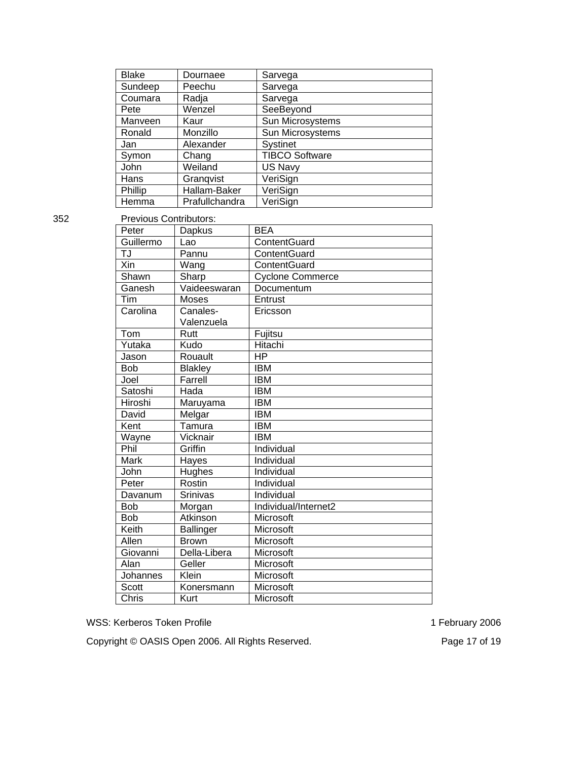| <b>Blake</b> | Dournaee       | Sarvega               |
|--------------|----------------|-----------------------|
| Sundeep      | Peechu         | Sarvega               |
| Coumara      | Radja          | Sarvega               |
| Pete         | Wenzel         | SeeBeyond             |
| Manveen      | Kaur           | Sun Microsystems      |
| Ronald       | Monzillo       | Sun Microsystems      |
| Jan          | Alexander      | Systinet              |
| Symon        | Chang          | <b>TIBCO Software</b> |
| John         | Weiland        | US Navy               |
| Hans         | Grangvist      | VeriSign              |
| Phillip      | Hallam-Baker   | VeriSign              |
| Hemma        | Prafullchandra | VeriSign              |

352 Previous Contributors:

| Peter        | TUVIUUS OOHIINUUUIS.<br>Dapkus | <b>BEA</b>              |
|--------------|--------------------------------|-------------------------|
| Guillermo    | Lao                            | ContentGuard            |
| TJ           | Pannu                          | ContentGuard            |
| Xin          | Wang                           | ContentGuard            |
| Shawn        | Sharp                          | <b>Cyclone Commerce</b> |
| Ganesh       | Vaideeswaran                   | Documentum              |
| Tim          | <b>Moses</b>                   | Entrust                 |
| Carolina     | Canales-                       | Ericsson                |
|              | Valenzuela                     |                         |
| Tom          | Rutt                           | Fujitsu                 |
| Yutaka       | Kudo                           | Hitachi                 |
| Jason        | Rouault                        | HP                      |
| <b>Bob</b>   | <b>Blakley</b>                 | <b>IBM</b>              |
| Joel         | Farrell                        | <b>IBM</b>              |
| Satoshi      | Hada                           | <b>IBM</b>              |
| Hiroshi      | Maruyama                       | <b>IBM</b>              |
| David        | Melgar                         | <b>IBM</b>              |
| Kent         | Tamura                         | <b>IBM</b>              |
| Wayne        | Vicknair                       | <b>IBM</b>              |
| Phil         | Griffin                        | Individual              |
| Mark         | Hayes                          | Individual              |
| John         | Hughes                         | Individual              |
| Peter        | Rostin                         | Individual              |
| Davanum      | <b>Srinivas</b>                | Individual              |
| <b>Bob</b>   | Morgan                         | Individual/Internet2    |
| <b>Bob</b>   | Atkinson                       | Microsoft               |
| Keith        | <b>Ballinger</b>               | Microsoft               |
| Allen        | <b>Brown</b>                   | Microsoft               |
| Giovanni     | Della-Libera                   | Microsoft               |
| Alan         | Geller                         | Microsoft               |
| Johannes     | Klein                          | Microsoft               |
| <b>Scott</b> | Konersmann                     | Microsoft               |
| Chris        | Kurt                           | Microsoft               |

WSS: Kerberos Token Profile 1 February 2006

Copyright © OASIS Open 2006. All Rights Reserved. Page 17 of 19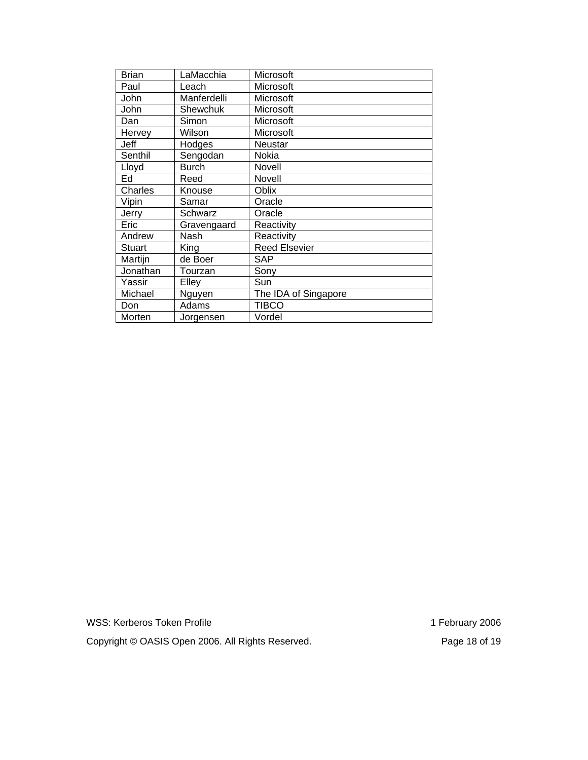| <b>Brian</b> | LaMacchia    | Microsoft            |
|--------------|--------------|----------------------|
| Paul         | Leach        | Microsoft            |
| John         | Manferdelli  | Microsoft            |
| John         | Shewchuk     | Microsoft            |
| Dan          | Simon        | Microsoft            |
| Hervey       | Wilson       | Microsoft            |
| Jeff         | Hodges       | Neustar              |
| Senthil      | Sengodan     | <b>Nokia</b>         |
| Lloyd        | <b>Burch</b> | Novell               |
| Ed           | Reed         | Novell               |
| Charles      | Knouse       | Oblix                |
| Vipin        | Samar        | Oracle               |
| Jerry        | Schwarz      | Oracle               |
| Eric         | Gravengaard  | Reactivity           |
| Andrew       | Nash         | Reactivity           |
| Stuart       | King         | <b>Reed Elsevier</b> |
| Martijn      | de Boer      | SAP                  |
| Jonathan     | Tourzan      | Sony                 |
| Yassir       | Elley        | Sun                  |
| Michael      | Nguyen       | The IDA of Singapore |
| Don          | Adams        | <b>TIBCO</b>         |
| Morten       | Jorgensen    | Vordel               |

WSS: Kerberos Token Profile 1 February 2006

Copyright © OASIS Open 2006. All Rights Reserved. Page 18 of 19